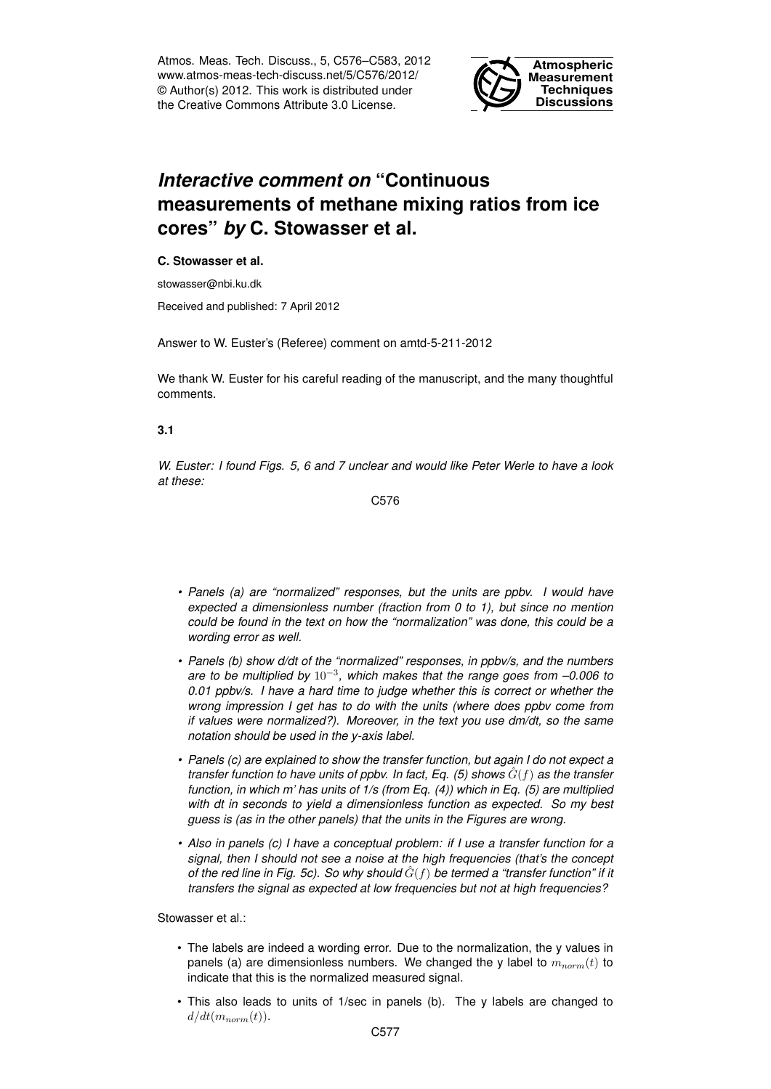Atmos. Meas. Tech. Discuss., 5, C576–C583, 2012 www.atmos-meas-tech-discuss.net/5/C576/2012/ © Author(s) 2012. This work is distributed under the Creative Commons Attribute 3.0 License.



# *Interactive comment on* **"Continuous measurements of methane mixing ratios from ice cores"** *by* **C. Stowasser et al.**

#### **C. Stowasser et al.**

stowasser@nbi.ku.dk

Received and published: 7 April 2012

Answer to W. Euster's (Referee) comment on amtd-5-211-2012

We thank W. Euster for his careful reading of the manuscript, and the many thoughtful comments.

#### **3.1**

*W. Euster: I found Figs. 5, 6 and 7 unclear and would like Peter Werle to have a look at these:*

C576

- *• Panels (a) are "normalized" responses, but the units are ppbv. I would have expected a dimensionless number (fraction from 0 to 1), but since no mention could be found in the text on how the "normalization" was done, this could be a wording error as well.*
- *• Panels (b) show d/dt of the "normalized" responses, in ppbv/s, and the numbers are to be multiplied by* 10−<sup>3</sup> *, which makes that the range goes from –0.006 to 0.01 ppbv/s. I have a hard time to judge whether this is correct or whether the wrong impression I get has to do with the units (where does ppbv come from if values were normalized?). Moreover, in the text you use dm/dt, so the same notation should be used in the y-axis label.*
- *• Panels (c) are explained to show the transfer function, but again I do not expect a transfer function to have units of ppbv. In fact, Eq. (5) shows*  $\hat{G}(f)$  *as the transfer function, in which m' has units of 1/s (from Eq. (4)) which in Eq. (5) are multiplied with dt in seconds to yield a dimensionless function as expected. So my best guess is (as in the other panels) that the units in the Figures are wrong.*
- *• Also in panels (c) I have a conceptual problem: if I use a transfer function for a signal, then I should not see a noise at the high frequencies (that's the concept of the red line in Fig. 5c). So why should*  $\hat{G}(f)$  *be termed a "transfer function" if it transfers the signal as expected at low frequencies but not at high frequencies?*

Stowasser et al.:

- The labels are indeed a wording error. Due to the normalization, the y values in panels (a) are dimensionless numbers. We changed the y label to  $m_{norm}(t)$  to indicate that this is the normalized measured signal.
- This also leads to units of 1/sec in panels (b). The y labels are changed to  $d/dt(m_{norm}(t)).$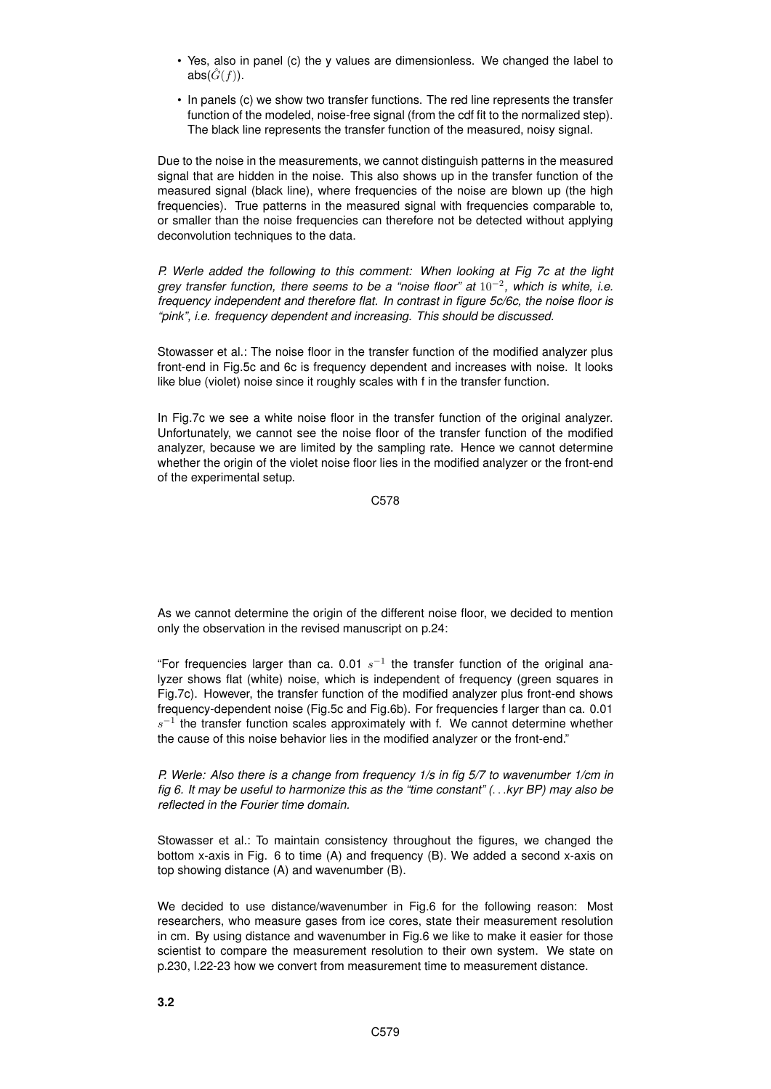- Yes, also in panel (c) the y values are dimensionless. We changed the label to abs( $\hat{G}(f)$ ).
- In panels (c) we show two transfer functions. The red line represents the transfer function of the modeled, noise-free signal (from the cdf fit to the normalized step). The black line represents the transfer function of the measured, noisy signal.

Due to the noise in the measurements, we cannot distinguish patterns in the measured signal that are hidden in the noise. This also shows up in the transfer function of the measured signal (black line), where frequencies of the noise are blown up (the high frequencies). True patterns in the measured signal with frequencies comparable to, or smaller than the noise frequencies can therefore not be detected without applying deconvolution techniques to the data.

*P. Werle added the following to this comment: When looking at Fig 7c at the light grey transfer function, there seems to be a "noise floor" at* 10−<sup>2</sup> *, which is white, i.e. frequency independent and therefore flat. In contrast in figure 5c/6c, the noise floor is "pink", i.e. frequency dependent and increasing. This should be discussed.*

Stowasser et al.: The noise floor in the transfer function of the modified analyzer plus front-end in Fig.5c and 6c is frequency dependent and increases with noise. It looks like blue (violet) noise since it roughly scales with f in the transfer function.

In Fig.7c we see a white noise floor in the transfer function of the original analyzer. Unfortunately, we cannot see the noise floor of the transfer function of the modified analyzer, because we are limited by the sampling rate. Hence we cannot determine whether the origin of the violet noise floor lies in the modified analyzer or the front-end of the experimental setup.

C578

As we cannot determine the origin of the different noise floor, we decided to mention only the observation in the revised manuscript on p.24:

"For frequencies larger than ca. 0.01  $s^{-1}$  the transfer function of the original analyzer shows flat (white) noise, which is independent of frequency (green squares in Fig.7c). However, the transfer function of the modified analyzer plus front-end shows frequency-dependent noise (Fig.5c and Fig.6b). For frequencies f larger than ca. 0.01  $s^{-1}$  the transfer function scales approximately with f. We cannot determine whether the cause of this noise behavior lies in the modified analyzer or the front-end."

*P. Werle: Also there is a change from frequency 1/s in fig 5/7 to wavenumber 1/cm in fig 6. It may be useful to harmonize this as the "time constant" (*. . .*kyr BP) may also be reflected in the Fourier time domain.*

Stowasser et al.: To maintain consistency throughout the figures, we changed the bottom x-axis in Fig. 6 to time (A) and frequency (B). We added a second x-axis on top showing distance (A) and wavenumber (B).

We decided to use distance/wavenumber in Fig.6 for the following reason: Most researchers, who measure gases from ice cores, state their measurement resolution in cm. By using distance and wavenumber in Fig.6 we like to make it easier for those scientist to compare the measurement resolution to their own system. We state on p.230, l.22-23 how we convert from measurement time to measurement distance.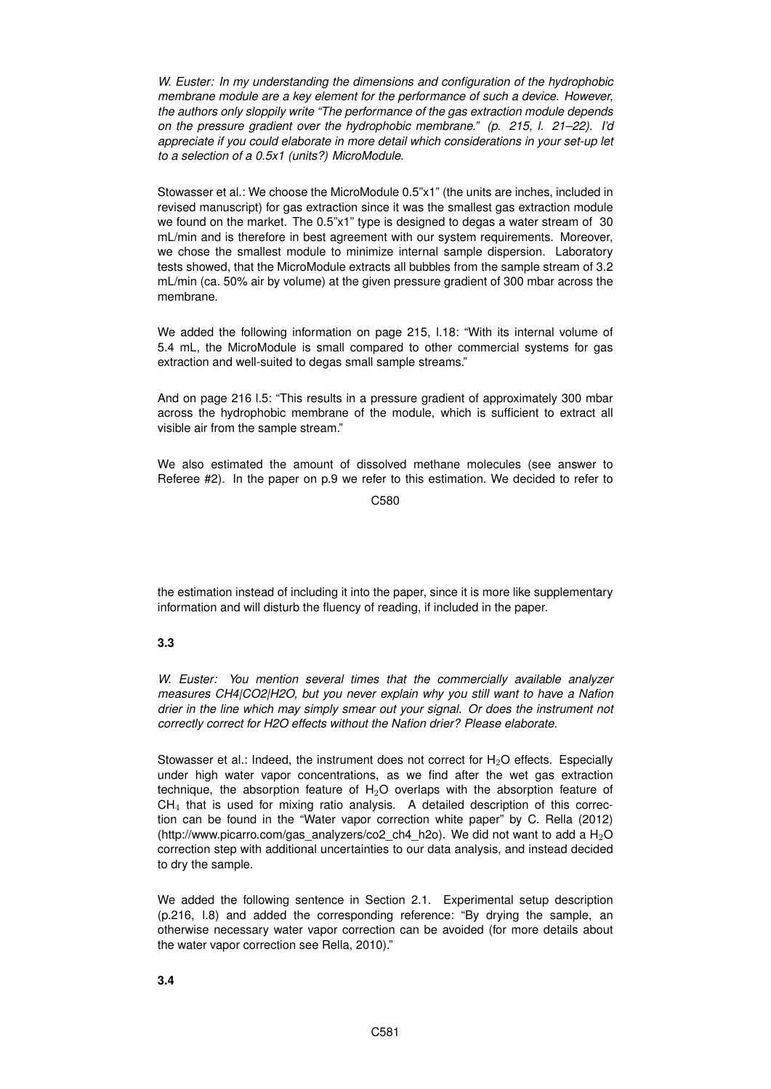*W. Euster: In my understanding the dimensions and configuration of the hydrophobic membrane module are a key element for the performance of such a device. However, the authors only sloppily write "The performance of the gas extraction module depends on the pressure gradient over the hydrophobic membrane." (p. 215, l. 21–22). I'd appreciate if you could elaborate in more detail which considerations in your set-up let to a selection of a 0.5x1 (units?) MicroModule.*

Stowasser et al.: We choose the MicroModule 0.5"x1" (the units are inches, included in revised manuscript) for gas extraction since it was the smallest gas extraction module we found on the market. The 0.5"x1" type is designed to degas a water stream of 30 mL/min and is therefore in best agreement with our system requirements. Moreover, we chose the smallest module to minimize internal sample dispersion. Laboratory tests showed, that the MicroModule extracts all bubbles from the sample stream of 3.2 mL/min (ca. 50% air by volume) at the given pressure gradient of 300 mbar across the membrane.

We added the following information on page 215, l.18: "With its internal volume of 5.4 mL, the MicroModule is small compared to other commercial systems for gas extraction and well-suited to degas small sample streams."

And on page 216 l.5: "This results in a pressure gradient of approximately 300 mbar across the hydrophobic membrane of the module, which is sufficient to extract all visible air from the sample stream."

We also estimated the amount of dissolved methane molecules (see answer to Referee #2). In the paper on p.9 we refer to this estimation. We decided to refer to

C580

the estimation instead of including it into the paper, since it is more like supplementary information and will disturb the fluency of reading, if included in the paper.

## **3.3**

*W. Euster: You mention several times that the commercially available analyzer measures CH4|CO2|H2O, but you never explain why you still want to have a Nafion drier in the line which may simply smear out your signal. Or does the instrument not correctly correct for H2O effects without the Nafion drier? Please elaborate.*

Stowasser et al.: Indeed, the instrument does not correct for  $H_2O$  effects. Especially under high water vapor concentrations, as we find after the wet gas extraction technique, the absorption feature of  $H_2O$  overlaps with the absorption feature of  $CH<sub>4</sub>$  that is used for mixing ratio analysis. A detailed description of this correction can be found in the "Water vapor correction white paper" by C. Rella (2012) (http://www.picarro.com/gas\_analyzers/co2\_ch4\_h2o). We did not want to add a  $H_2O$ correction step with additional uncertainties to our data analysis, and instead decided to dry the sample.

We added the following sentence in Section 2.1. Experimental setup description (p.216, l.8) and added the corresponding reference: "By drying the sample, an otherwise necessary water vapor correction can be avoided (for more details about the water vapor correction see Rella, 2010)."